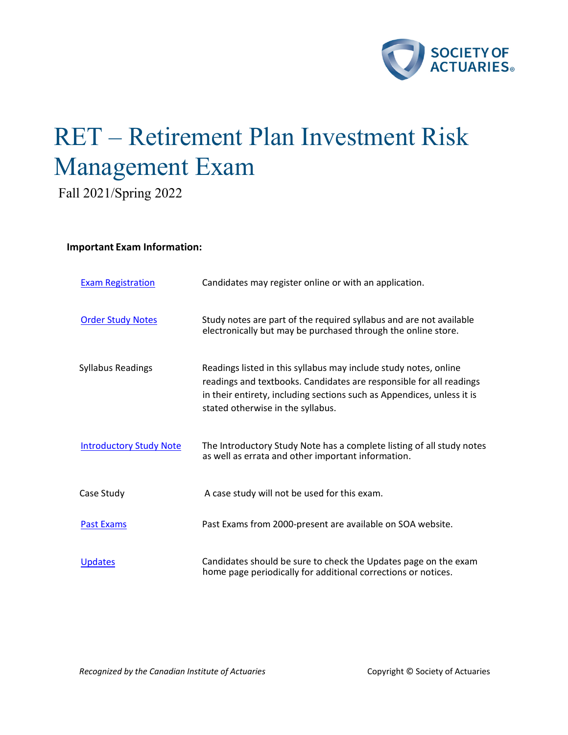

# RET – Retirement Plan Investment Risk Management Exam

Fall 2021/Spring 2022

## **Important Exam Information:**

| <b>Exam Registration</b>       | Candidates may register online or with an application.                                                                                                                                                                                                 |
|--------------------------------|--------------------------------------------------------------------------------------------------------------------------------------------------------------------------------------------------------------------------------------------------------|
| <b>Order Study Notes</b>       | Study notes are part of the required syllabus and are not available<br>electronically but may be purchased through the online store.                                                                                                                   |
| <b>Syllabus Readings</b>       | Readings listed in this syllabus may include study notes, online<br>readings and textbooks. Candidates are responsible for all readings<br>in their entirety, including sections such as Appendices, unless it is<br>stated otherwise in the syllabus. |
| <b>Introductory Study Note</b> | The Introductory Study Note has a complete listing of all study notes<br>as well as errata and other important information.                                                                                                                            |
| Case Study                     | A case study will not be used for this exam.                                                                                                                                                                                                           |
| <b>Past Exams</b>              | Past Exams from 2000-present are available on SOA website.                                                                                                                                                                                             |
| <b>Updates</b>                 | Candidates should be sure to check the Updates page on the exam<br>home page periodically for additional corrections or notices.                                                                                                                       |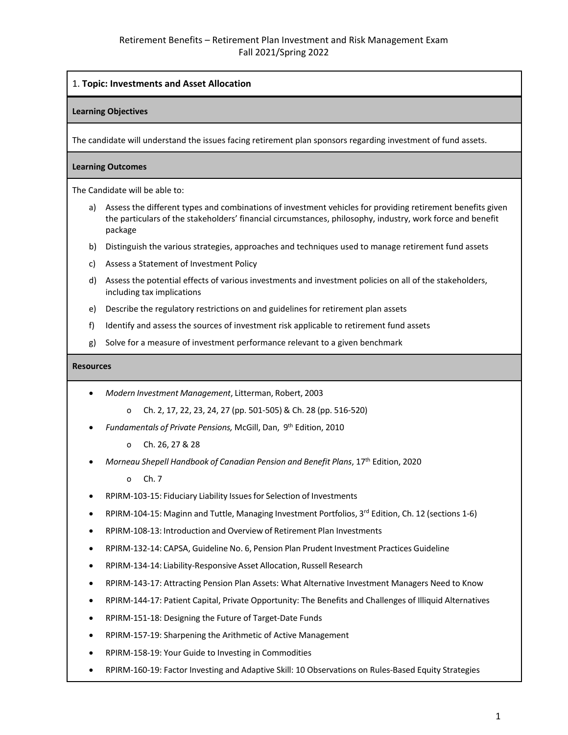## 1. **Topic: Investments and Asset Allocation**

#### **Learning Objectives**

The candidate will understand the issues facing retirement plan sponsors regarding investment of fund assets.

## **Learning Outcomes**

The Candidate will be able to:

- a) Assess the different types and combinations of investment vehicles for providing retirement benefits given the particulars of the stakeholders' financial circumstances, philosophy, industry, work force and benefit package
- b) Distinguish the various strategies, approaches and techniques used to manage retirement fund assets
- c) Assess a Statement of Investment Policy
- d) Assess the potential effects of various investments and investment policies on all of the stakeholders, including tax implications
- e) Describe the regulatory restrictions on and guidelines for retirement plan assets
- f) Identify and assess the sources of investment risk applicable to retirement fund assets
- g) Solve for a measure of investment performance relevant to a given benchmark

#### **Resources**

- *Modern Investment Management*, Litterman, Robert, 2003
	- o Ch. 2, 17, 22, 23, 24, 27 (pp. 501-505) & Ch. 28 (pp. 516-520)
- *Fundamentals of Private Pensions,* McGill, Dan, 9th Edition, 2010
	- o Ch. 26, 27 & 28
- *Morneau Shepell Handbook of Canadian Pension and Benefit Plans*, 17th Edition, 2020
	- o Ch. 7
- RPIRM-103-15: Fiduciary Liability Issuesfor Selection of Investments
- RPIRM-104-15: Maginn and Tuttle, Managing Investment Portfolios,  $3^{rd}$  Edition, Ch. 12 (sections 1-6)
- RPIRM-108-13: Introduction and Overview of Retirement Plan Investments
- RPIRM-132-14: CAPSA, Guideline No. 6, Pension Plan Prudent Investment Practices Guideline
- RPIRM-134-14: Liability-Responsive Asset Allocation, Russell Research
- RPIRM-143-17: Attracting Pension Plan Assets: What Alternative Investment Managers Need to Know
- RPIRM-144-17: Patient Capital, Private Opportunity: The Benefits and Challenges of Illiquid Alternatives
- RPIRM-151-18: Designing the Future of Target-Date Funds
- RPIRM-157-19: Sharpening the Arithmetic of Active Management
- RPIRM-158-19: Your Guide to Investing in Commodities
- RPIRM-160-19: Factor Investing and Adaptive Skill: 10 Observations on Rules-Based Equity Strategies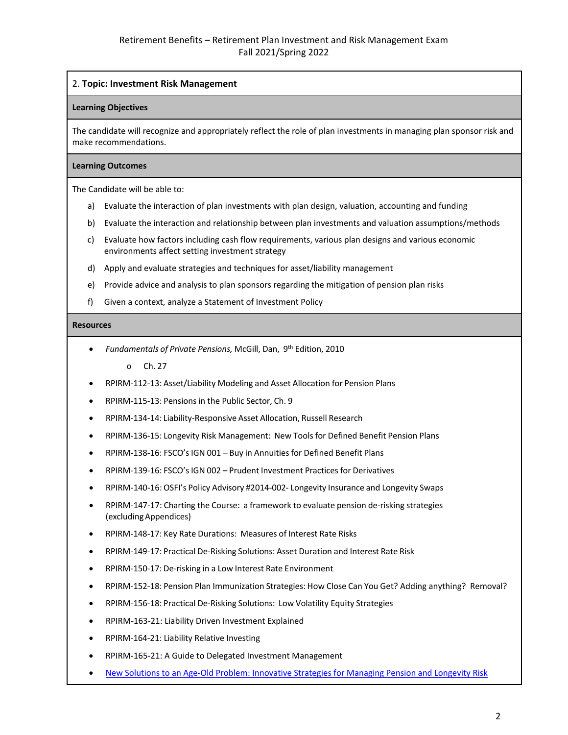## 2. **Topic: Investment Risk Management**

#### **Learning Objectives**

The candidate will recognize and appropriately reflect the role of plan investments in managing plan sponsor risk and make recommendations.

#### **Learning Outcomes**

The Candidate will be able to:

- a) Evaluate the interaction of plan investments with plan design, valuation, accounting and funding
- b) Evaluate the interaction and relationship between plan investments and valuation assumptions/methods
- c) Evaluate how factors including cash flow requirements, various plan designs and various economic environments affect setting investment strategy
- d) Apply and evaluate strategies and techniques for asset/liability management
- e) Provide advice and analysis to plan sponsors regarding the mitigation of pension plan risks
- f) Given a context, analyze a Statement of Investment Policy

#### **Resources**

• *Fundamentals of Private Pensions,* McGill, Dan, 9th Edition, 2010

o Ch. 27

- RPIRM-112-13: Asset/Liability Modeling and Asset Allocation for Pension Plans
- RPIRM-115-13: Pensionsin the Public Sector, Ch. 9
- RPIRM-134-14: Liability-Responsive Asset Allocation, Russell Research
- RPIRM-136-15: Longevity Risk Management: New Toolsfor Defined Benefit Pension Plans
- RPIRM-138-16: FSCO's IGN 001 Buy in Annuities for Defined Benefit Plans
- RPIRM-139-16: FSCO's IGN 002 Prudent Investment Practices for Derivatives
- RPIRM-140-16: OSFI's Policy Advisory #2014-002- Longevity Insurance and Longevity Swaps
- RPIRM-147-17: Charting the Course: a framework to evaluate pension de-risking strategies (excludingAppendices)
- RPIRM-148-17: Key Rate Durations: Measures of Interest Rate Risks
- RPIRM-149-17: Practical De-Risking Solutions: Asset Duration and Interest Rate Risk
- RPIRM-150-17: De-risking in a Low Interest Rate Environment
- RPIRM-152-18: Pension Plan Immunization Strategies: How Close Can You Get? Adding anything? Removal?
- RPIRM-156-18: Practical De-Risking Solutions: Low Volatility Equity Strategies
- RPIRM-163-21: Liability Driven Investment Explained
- RPIRM-164-21: Liability Relative Investing
- RPIRM-165-21: A Guide to Delegated Investment Management
- [New Solutions to an Age-Old Problem: Innovative Strategies for Managing Pension and Longevity Risk](https://www.tandfonline.com/doi/pdf/10.1080/10920277.2019.1672566)